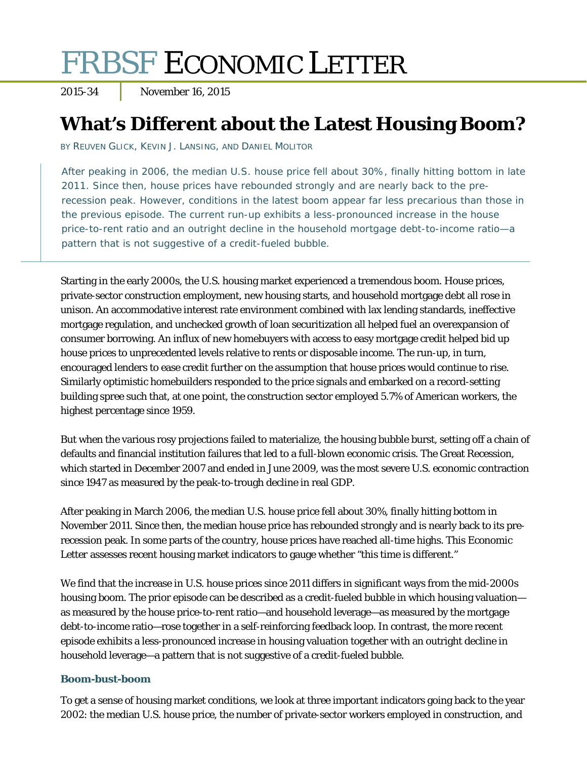# FRBSF ECONOMIC LETTER

2015-34 November 16, 2015

# **What's Different about the Latest Housing Boom?**

BY REUVEN GLICK, KEVIN J. LANSING, AND DANIEL MOLITOR

After peaking in 2006, the median U.S. house price fell about 30%, finally hitting bottom in late 2011. Since then, house prices have rebounded strongly and are nearly back to the prerecession peak. However, conditions in the latest boom appear far less precarious than those in the previous episode. The current run-up exhibits a less-pronounced increase in the house price-to-rent ratio and an outright decline in the household mortgage debt-to-income ratio—a pattern that is not suggestive of a credit-fueled bubble.

Starting in the early 2000s, the U.S. housing market experienced a tremendous boom. House prices, private-sector construction employment, new housing starts, and household mortgage debt all rose in unison. An accommodative interest rate environment combined with lax lending standards, ineffective mortgage regulation, and unchecked growth of loan securitization all helped fuel an overexpansion of consumer borrowing. An influx of new homebuyers with access to easy mortgage credit helped bid up house prices to unprecedented levels relative to rents or disposable income. The run-up, in turn, encouraged lenders to ease credit further on the assumption that house prices would continue to rise. Similarly optimistic homebuilders responded to the price signals and embarked on a record-setting building spree such that, at one point, the construction sector employed 5.7% of American workers, the highest percentage since 1959.

But when the various rosy projections failed to materialize, the housing bubble burst, setting off a chain of defaults and financial institution failures that led to a full-blown economic crisis. The Great Recession, which started in December 2007 and ended in June 2009, was the most severe U.S. economic contraction since 1947 as measured by the peak-to-trough decline in real GDP.

After peaking in March 2006, the median U.S. house price fell about 30%, finally hitting bottom in November 2011. Since then, the median house price has rebounded strongly and is nearly back to its prerecession peak. In some parts of the country, house prices have reached all-time highs. This *Economic Letter* assesses recent housing market indicators to gauge whether "this time is different."

We find that the increase in U.S. house prices since 2011 differs in significant ways from the mid-2000s housing boom. The prior episode can be described as a credit-fueled bubble in which housing valuation as measured by the house price-to-rent ratio—and household leverage—as measured by the mortgage debt-to-income ratio—rose together in a self-reinforcing feedback loop. In contrast, the more recent episode exhibits a less-pronounced increase in housing valuation together with an outright decline in household leverage—a pattern that is not suggestive of a credit-fueled bubble.

#### **Boom-bust-boom**

To get a sense of housing market conditions, we look at three important indicators going back to the year 2002: the median U.S. house price, the number of private-sector workers employed in construction, and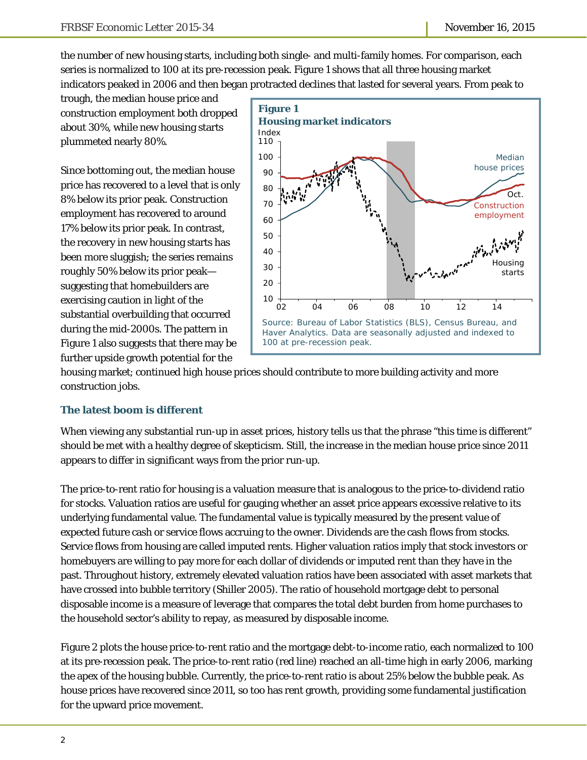the number of new housing starts, including both single- and multi-family homes. For comparison, each series is normalized to 100 at its pre-recession peak. Figure 1 shows that all three housing market indicators peaked in 2006 and then began protracted declines that lasted for several years. From peak to

trough, the median house price and construction employment both dropped about 30%, while new housing starts plummeted nearly 80%.

Since bottoming out, the median house price has recovered to a level that is only 8% below its prior peak. Construction employment has recovered to around 17% below its prior peak. In contrast, the recovery in new housing starts has been more sluggish; the series remains roughly 50% below its prior peak suggesting that homebuilders are exercising caution in light of the substantial overbuilding that occurred during the mid-2000s. The pattern in Figure 1 also suggests that there may be further upside growth potential for the



housing market; continued high house prices should contribute to more building activity and more construction jobs.

## **The latest boom is different**

When viewing any substantial run-up in asset prices, history tells us that the phrase "this time is different" should be met with a healthy degree of skepticism. Still, the increase in the median house price since 2011 appears to differ in significant ways from the prior run-up.

The price-to-rent ratio for housing is a valuation measure that is analogous to the price-to-dividend ratio for stocks. Valuation ratios are useful for gauging whether an asset price appears excessive relative to its underlying fundamental value. The fundamental value is typically measured by the present value of expected future cash or service flows accruing to the owner. Dividends are the cash flows from stocks. Service flows from housing are called imputed rents. Higher valuation ratios imply that stock investors or homebuyers are willing to pay more for each dollar of dividends or imputed rent than they have in the past. Throughout history, extremely elevated valuation ratios have been associated with asset markets that have crossed into bubble territory (Shiller 2005). The ratio of household mortgage debt to personal disposable income is a measure of leverage that compares the total debt burden from home purchases to the household sector's ability to repay, as measured by disposable income.

Figure 2 plots the house price-to-rent ratio and the mortgage debt-to-income ratio, each normalized to 100 at its pre-recession peak. The price-to-rent ratio (red line) reached an all-time high in early 2006, marking the apex of the housing bubble. Currently, the price-to-rent ratio is about 25% below the bubble peak. As house prices have recovered since 2011, so too has rent growth, providing some fundamental justification for the upward price movement.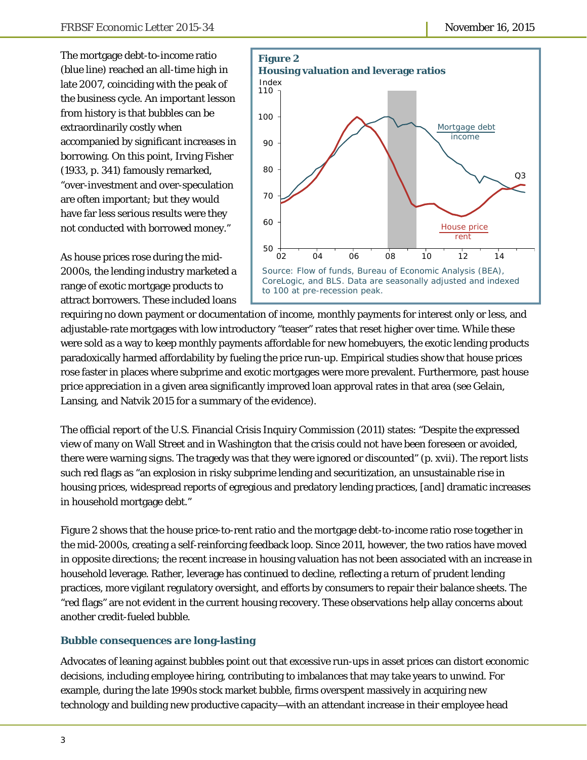The mortgage debt-to-income ratio (blue line) reached an all-time high in late 2007, coinciding with the peak of the business cycle. An important lesson from history is that bubbles can be extraordinarily costly when accompanied by significant increases in borrowing. On this point, Irving Fisher (1933, p. 341) famously remarked, "over-investment and over-speculation are often important; but they would have far less serious results were they not conducted with borrowed money."

As house prices rose during the mid-2000s, the lending industry marketed a range of exotic mortgage products to attract borrowers. These included loans



requiring no down payment or documentation of income, monthly payments for interest only or less, and adjustable-rate mortgages with low introductory "teaser" rates that reset higher over time. While these were sold as a way to keep monthly payments affordable for new homebuyers, the exotic lending products paradoxically harmed affordability by fueling the price run-up. Empirical studies show that house prices rose faster in places where subprime and exotic mortgages were more prevalent. Furthermore, past house price appreciation in a given area significantly improved loan approval rates in that area (see Gelain, Lansing, and Natvik 2015 for a summary of the evidence).

The official report of the U.S. Financial Crisis Inquiry Commission (2011) states: "Despite the expressed view of many on Wall Street and in Washington that the crisis could not have been foreseen or avoided, there were warning signs. The tragedy was that they were ignored or discounted" (p. xvii). The report lists such red flags as "an explosion in risky subprime lending and securitization, an unsustainable rise in housing prices, widespread reports of egregious and predatory lending practices, [and] dramatic increases in household mortgage debt."

Figure 2 shows that the house price-to-rent ratio and the mortgage debt-to-income ratio rose together in the mid-2000s, creating a self-reinforcing feedback loop. Since 2011, however, the two ratios have moved in opposite directions; the recent increase in housing valuation has not been associated with an increase in household leverage. Rather, leverage has continued to decline, reflecting a return of prudent lending practices, more vigilant regulatory oversight, and efforts by consumers to repair their balance sheets. The "red flags" are not evident in the current housing recovery. These observations help allay concerns about another credit-fueled bubble.

## **Bubble consequences are long-lasting**

Advocates of leaning against bubbles point out that excessive run-ups in asset prices can distort economic decisions, including employee hiring, contributing to imbalances that may take years to unwind. For example, during the late 1990s stock market bubble, firms overspent massively in acquiring new technology and building new productive capacity—with an attendant increase in their employee head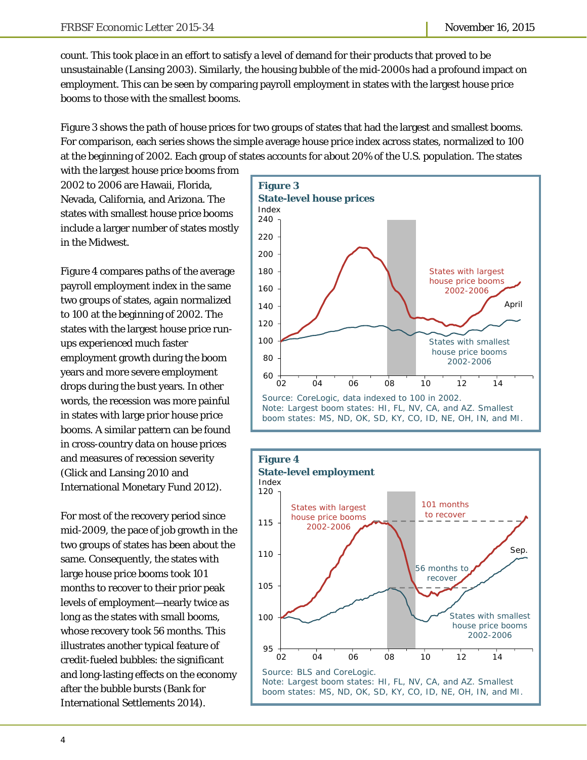count. This took place in an effort to satisfy a level of demand for their products that proved to be unsustainable (Lansing 2003). Similarly, the housing bubble of the mid-2000s had a profound impact on employment. This can be seen by comparing payroll employment in states with the largest house price booms to those with the smallest booms.

Figure 3 shows the path of house prices for two groups of states that had the largest and smallest booms. For comparison, each series shows the simple average house price index across states, normalized to 100 at the beginning of 2002. Each group of states accounts for about 20% of the U.S. population. The states

with the largest house price booms from 2002 to 2006 are Hawaii, Florida, Nevada, California, and Arizona. The states with smallest house price booms include a larger number of states mostly in the Midwest.

Figure 4 compares paths of the average payroll employment index in the same two groups of states, again normalized to 100 at the beginning of 2002. The states with the largest house price runups experienced much faster employment growth during the boom years and more severe employment drops during the bust years. In other words, the recession was more painful in states with large prior house price booms. A similar pattern can be found in cross-country data on house prices and measures of recession severity (Glick and Lansing 2010 and International Monetary Fund 2012).

For most of the recovery period since mid-2009, the pace of job growth in the two groups of states has been about the same. Consequently, the states with large house price booms took 101 months to recover to their prior peak levels of employment—nearly twice as long as the states with small booms, whose recovery took 56 months. This illustrates another typical feature of credit-fueled bubbles: the significant and long-lasting effects on the economy after the bubble bursts (Bank for International Settlements 2014).